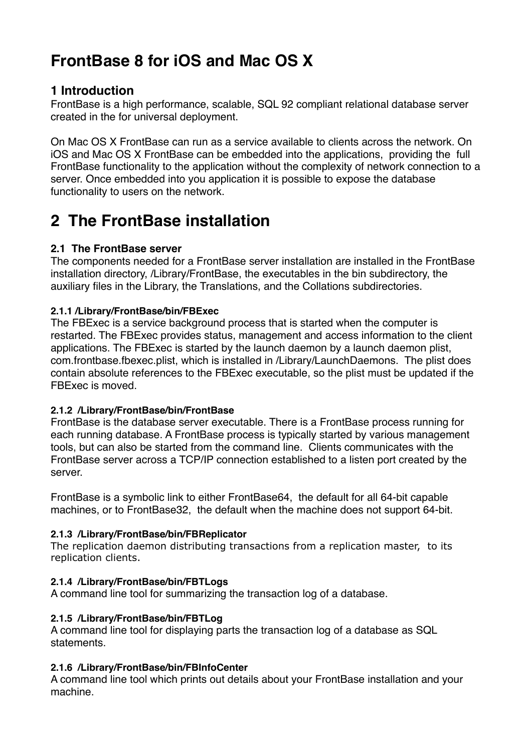# **FrontBase 8 for iOS and Mac OS X**

# **1 Introduction**

FrontBase is a high performance, scalable, SQL 92 compliant relational database server created in the for universal deployment.

On Mac OS X FrontBase can run as a service available to clients across the network. On iOS and Mac OS X FrontBase can be embedded into the applications, providing the full FrontBase functionality to the application without the complexity of network connection to a server. Once embedded into you application it is possible to expose the database functionality to users on the network.

# **2 The FrontBase installation**

# **2.1 The FrontBase server**

The components needed for a FrontBase server installation are installed in the FrontBase installation directory, /Library/FrontBase, the executables in the bin subdirectory, the auxiliary files in the Library, the Translations, and the Collations subdirectories.

# **2.1.1 /Library/FrontBase/bin/FBExec**

The FBExec is a service background process that is started when the computer is restarted. The FBExec provides status, management and access information to the client applications. The FBExec is started by the launch daemon by a launch daemon plist, com.frontbase.fbexec.plist, which is installed in /Library/LaunchDaemons. The plist does contain absolute references to the FBExec executable, so the plist must be updated if the FBExec is moved.

# **2.1.2 /Library/FrontBase/bin/FrontBase**

FrontBase is the database server executable. There is a FrontBase process running for each running database. A FrontBase process is typically started by various management tools, but can also be started from the command line. Clients communicates with the FrontBase server across a TCP/IP connection established to a listen port created by the server.

FrontBase is a symbolic link to either FrontBase64, the default for all 64-bit capable machines, or to FrontBase32, the default when the machine does not support 64-bit.

# **2.1.3 /Library/FrontBase/bin/FBReplicator**

The replication daemon distributing transactions from a replication master, to its replication clients.

# **2.1.4 /Library/FrontBase/bin/FBTLogs**

A command line tool for summarizing the transaction log of a database.

# **2.1.5 /Library/FrontBase/bin/FBTLog**

A command line tool for displaying parts the transaction log of a database as SQL statements.

# **2.1.6 /Library/FrontBase/bin/FBInfoCenter**

A command line tool which prints out details about your FrontBase installation and your machine.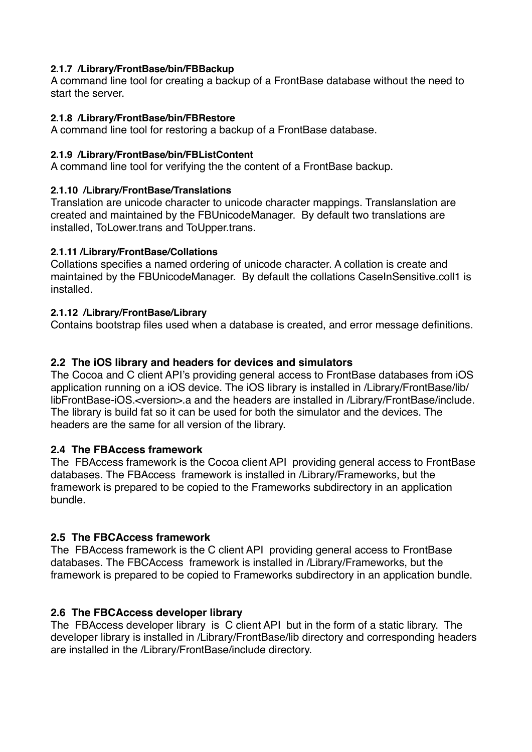#### **2.1.7 /Library/FrontBase/bin/FBBackup**

A command line tool for creating a backup of a FrontBase database without the need to start the server.

#### **2.1.8 /Library/FrontBase/bin/FBRestore**

A command line tool for restoring a backup of a FrontBase database.

#### **2.1.9 /Library/FrontBase/bin/FBListContent**

A command line tool for verifying the the content of a FrontBase backup.

#### **2.1.10 /Library/FrontBase/Translations**

Translation are unicode character to unicode character mappings. Translanslation are created and maintained by the FBUnicodeManager. By default two translations are installed, ToLower.trans and ToUpper.trans.

#### **2.1.11 /Library/FrontBase/Collations**

Collations specifies a named ordering of unicode character. A collation is create and maintained by the FBUnicodeManager. By default the collations CaseInSensitive.coll1 is installed.

#### **2.1.12 /Library/FrontBase/Library**

Contains bootstrap files used when a database is created, and error message definitions.

# **2.2 The iOS library and headers for devices and simulators**

The Cocoa and C client API's providing general access to FrontBase databases from iOS application running on a iOS device. The iOS library is installed in /Library/FrontBase/lib/ libFrontBase-iOS.<version>.a and the headers are installed in /Library/FrontBase/include. The library is build fat so it can be used for both the simulator and the devices. The headers are the same for all version of the library.

# **2.4 The FBAccess framework**

The FBAccess framework is the Cocoa client API providing general access to FrontBase databases. The FBAccess framework is installed in /Library/Frameworks, but the framework is prepared to be copied to the Frameworks subdirectory in an application bundle.

# **2.5 The FBCAccess framework**

The FBAccess framework is the C client API providing general access to FrontBase databases. The FBCAccess framework is installed in /Library/Frameworks, but the framework is prepared to be copied to Frameworks subdirectory in an application bundle.

# **2.6 The FBCAccess developer library**

The FBAccess developer library is C client API but in the form of a static library. The developer library is installed in /Library/FrontBase/lib directory and corresponding headers are installed in the /Library/FrontBase/include directory.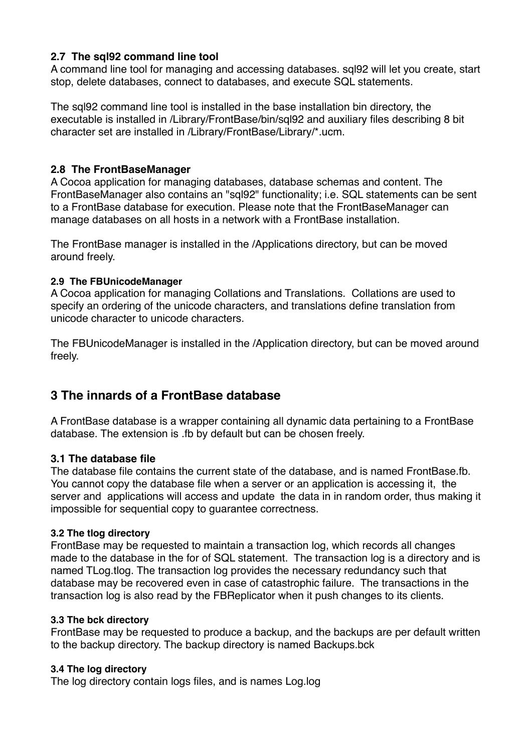# **2.7 The sql92 command line tool**

A command line tool for managing and accessing databases. sql92 will let you create, start stop, delete databases, connect to databases, and execute SQL statements.

The sql92 command line tool is installed in the base installation bin directory, the executable is installed in /Library/FrontBase/bin/sql92 and auxiliary files describing 8 bit character set are installed in /Library/FrontBase/Library/\*.ucm.

#### **2.8 The FrontBaseManager**

A Cocoa application for managing databases, database schemas and content. The FrontBaseManager also contains an "sql92" functionality; i.e. SQL statements can be sent to a FrontBase database for execution. Please note that the FrontBaseManager can manage databases on all hosts in a network with a FrontBase installation.

The FrontBase manager is installed in the /Applications directory, but can be moved around freely.

#### **2.9 The FBUnicodeManager**

A Cocoa application for managing Collations and Translations. Collations are used to specify an ordering of the unicode characters, and translations define translation from unicode character to unicode characters.

The FBUnicodeManager is installed in the /Application directory, but can be moved around freely.

# **3 The innards of a FrontBase database**

A FrontBase database is a wrapper containing all dynamic data pertaining to a FrontBase database. The extension is .fb by default but can be chosen freely.

#### **3.1 The database file**

The database file contains the current state of the database, and is named FrontBase.fb. You cannot copy the database file when a server or an application is accessing it, the server and applications will access and update the data in in random order, thus making it impossible for sequential copy to guarantee correctness.

#### **3.2 The tlog directory**

FrontBase may be requested to maintain a transaction log, which records all changes made to the database in the for of SQL statement. The transaction log is a directory and is named TLog.tlog. The transaction log provides the necessary redundancy such that database may be recovered even in case of catastrophic failure. The transactions in the transaction log is also read by the FBReplicator when it push changes to its clients.

#### **3.3 The bck directory**

FrontBase may be requested to produce a backup, and the backups are per default written to the backup directory. The backup directory is named Backups.bck

#### **3.4 The log directory**

The log directory contain logs files, and is names Log.log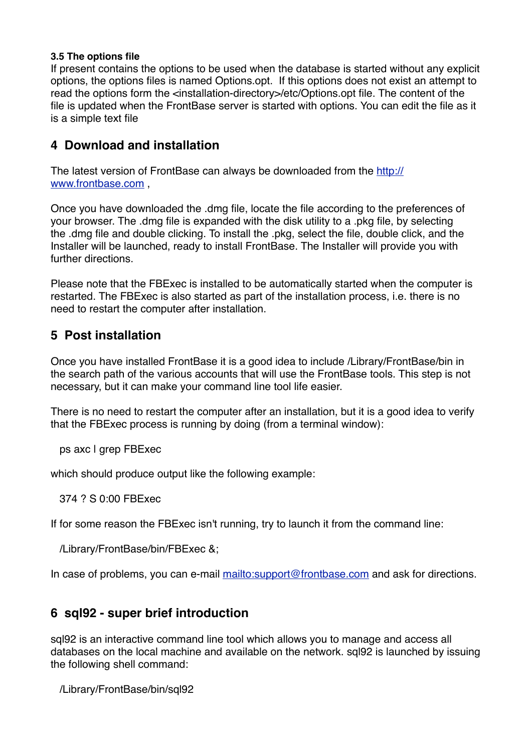#### **3.5 The options file**

If present contains the options to be used when the database is started without any explicit options, the options files is named Options.opt. If this options does not exist an attempt to read the options form the <installation-directory>/etc/Options.opt file. The content of the file is updated when the FrontBase server is started with options. You can edit the file as it is a simple text file

# **4 Download and installation**

[The latest version of FrontBase can always be downloaded from the http://](http://www.frontbase.com) www.frontbase.com ,

Once you have downloaded the .dmg file, locate the file according to the preferences of your browser. The .dmg file is expanded with the disk utility to a .pkg file, by selecting the .dmg file and double clicking. To install the .pkg, select the file, double click, and the Installer will be launched, ready to install FrontBase. The Installer will provide you with further directions.

Please note that the FBExec is installed to be automatically started when the computer is restarted. The FBExec is also started as part of the installation process, i.e. there is no need to restart the computer after installation.

# **5 Post installation**

Once you have installed FrontBase it is a good idea to include /Library/FrontBase/bin in the search path of the various accounts that will use the FrontBase tools. This step is not necessary, but it can make your command line tool life easier.

There is no need to restart the computer after an installation, but it is a good idea to verify that the FBExec process is running by doing (from a terminal window):

ps axc | grep FBExec

which should produce output like the following example:

374 ? S 0:00 FBExec

If for some reason the FBExec isn't running, try to launch it from the command line:

/Library/FrontBase/bin/FBExec &;

In case of problems, you can e-mail<mailto:support@frontbase.com> and ask for directions.

# **6 sql92 - super brief introduction**

sql92 is an interactive command line tool which allows you to manage and access all databases on the local machine and available on the network. sql92 is launched by issuing the following shell command:

/Library/FrontBase/bin/sql92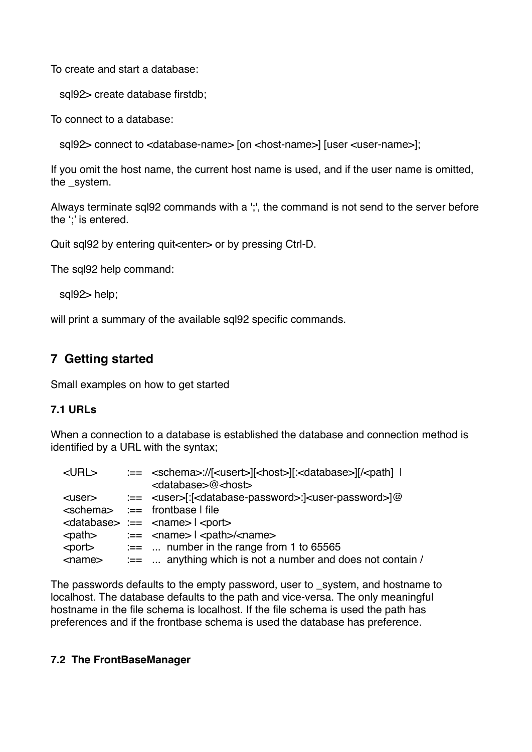To create and start a database:

sql92> create database firstdb;

To connect to a database:

sql92> connect to <database-name> [on <host-name>] [user <user-name>];

If you omit the host name, the current host name is used, and if the user name is omitted, the system.

Always terminate sql92 commands with a ';', the command is not send to the server before the ';' is entered.

Quit sql92 by entering quit<enter> or by pressing Ctrl-D.

The sql92 help command:

sql92> help;

will print a summary of the available sql92 specific commands.

# **7 Getting started**

Small examples on how to get started

#### **7.1 URLs**

When a connection to a database is established the database and connection method is identified by a URL with the syntax;

| $<$ URL $>$  | :== <schema>://[<usert>][<host>][:<database>][/<path] th=""  <=""></path]></database></host></usert></schema>                                                                                                                                                                                                                                                                              |
|--------------|--------------------------------------------------------------------------------------------------------------------------------------------------------------------------------------------------------------------------------------------------------------------------------------------------------------------------------------------------------------------------------------------|
|              | $<$ database>@ $<$ host>                                                                                                                                                                                                                                                                                                                                                                   |
|              |                                                                                                                                                                                                                                                                                                                                                                                            |
|              | $\leq$ schema $\geq$ $\equiv$ frontbase I file                                                                                                                                                                                                                                                                                                                                             |
|              | $\alpha$ <database> :== <math>\alpha</math> <name> <math>\alpha</math> <port></port></name></database>                                                                                                                                                                                                                                                                                     |
|              | $\epsilon$ $\epsilon$ $\ge$ $\epsilon$ $\ge$ $\epsilon$ $\ge$ $\epsilon$ $\ge$ $\epsilon$ $\ge$ $\epsilon$ $\ge$ $\epsilon$ $\ge$ $\epsilon$ $\ge$ $\epsilon$ $\ge$ $\epsilon$ $\ge$ $\epsilon$ $\ge$ $\epsilon$ $\ge$ $\epsilon$ $\ge$ $\epsilon$ $\ge$ $\epsilon$ $\ge$ $\epsilon$ $\ge$ $\epsilon$ $\ge$ $\epsilon$ $\ge$ $\epsilon$ $\ge$ $\epsilon$ $\ge$ $\epsilon$ $\ge$ $\epsilon$ |
|              | $\leq$ port $\geq$ $\equiv$ number in the range from 1 to 65565                                                                                                                                                                                                                                                                                                                            |
| $<$ name $>$ | $:=$ anything which is not a number and does not contain /                                                                                                                                                                                                                                                                                                                                 |

The passwords defaults to the empty password, user to \_system, and hostname to localhost. The database defaults to the path and vice-versa. The only meaningful hostname in the file schema is localhost. If the file schema is used the path has preferences and if the frontbase schema is used the database has preference.

#### **7.2 The FrontBaseManager**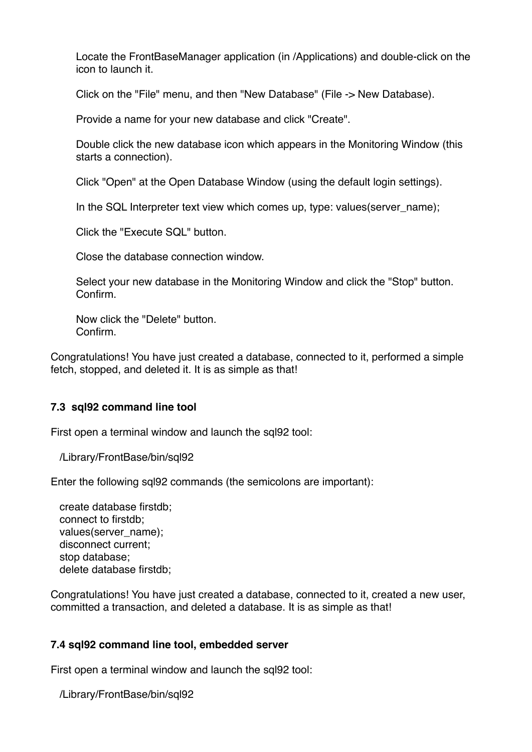Locate the FrontBaseManager application (in /Applications) and double-click on the icon to launch it.

Click on the "File" menu, and then "New Database" (File -> New Database).

Provide a name for your new database and click "Create".

Double click the new database icon which appears in the Monitoring Window (this starts a connection).

Click "Open" at the Open Database Window (using the default login settings).

In the SQL Interpreter text view which comes up, type: values(server\_name);

Click the "Execute SQL" button.

Close the database connection window.

Select your new database in the Monitoring Window and click the "Stop" button. Confirm.

Now click the "Delete" button. Confirm.

Congratulations! You have just created a database, connected to it, performed a simple fetch, stopped, and deleted it. It is as simple as that!

#### **7.3 sql92 command line tool**

First open a terminal window and launch the sql92 tool:

/Library/FrontBase/bin/sql92

Enter the following sql92 commands (the semicolons are important):

 create database firstdb; connect to firstdb; values(server\_name); disconnect current; stop database; delete database firstdb;

Congratulations! You have just created a database, connected to it, created a new user, committed a transaction, and deleted a database. It is as simple as that!

#### **7.4 sql92 command line tool, embedded server**

First open a terminal window and launch the sql92 tool:

/Library/FrontBase/bin/sql92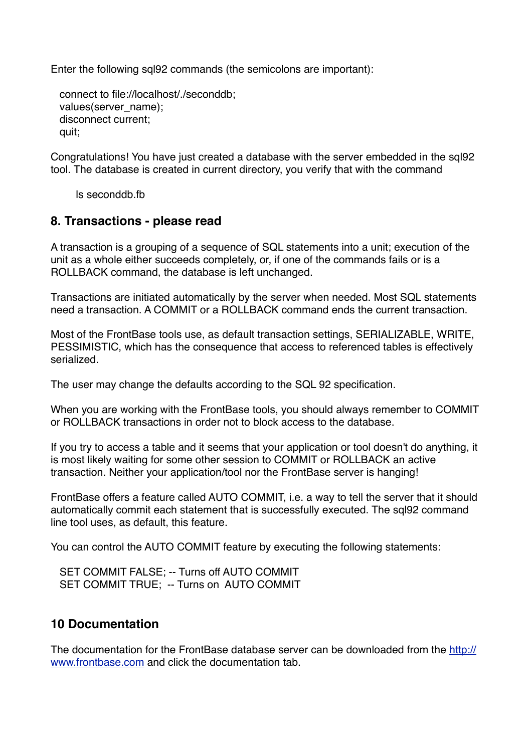Enter the following sql92 commands (the semicolons are important):

```
 connect to file://localhost/./seconddb;
values(server_name);
 disconnect current;
 quit;
```
Congratulations! You have just created a database with the server embedded in the sql92 tool. The database is created in current directory, you verify that with the command

ls seconddb.fb

# **8. Transactions - please read**

A transaction is a grouping of a sequence of SQL statements into a unit; execution of the unit as a whole either succeeds completely, or, if one of the commands fails or is a ROLLBACK command, the database is left unchanged.

Transactions are initiated automatically by the server when needed. Most SQL statements need a transaction. A COMMIT or a ROLLBACK command ends the current transaction.

Most of the FrontBase tools use, as default transaction settings, SERIALIZABLE, WRITE, PESSIMISTIC, which has the consequence that access to referenced tables is effectively serialized.

The user may change the defaults according to the SQL 92 specification.

When you are working with the FrontBase tools, you should always remember to COMMIT or ROLLBACK transactions in order not to block access to the database.

If you try to access a table and it seems that your application or tool doesn't do anything, it is most likely waiting for some other session to COMMIT or ROLLBACK an active transaction. Neither your application/tool nor the FrontBase server is hanging!

FrontBase offers a feature called AUTO COMMIT, i.e. a way to tell the server that it should automatically commit each statement that is successfully executed. The sql92 command line tool uses, as default, this feature.

You can control the AUTO COMMIT feature by executing the following statements:

SET COMMIT FALSE; -- Turns off AUTO COMMIT SET COMMIT TRUE; -- Turns on AUTO COMMIT

# **10 Documentation**

[The documentation for the FrontBase database server can be downloaded from the http://](http://www.frontbase.com) www.frontbase.com and click the documentation tab.